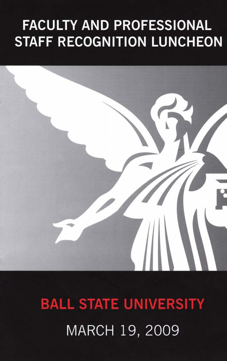# **FACULTY AND PROFESSIONAL STAFF RECOGNITION LUNCHEON**



**BALL STATE UNIVERSITY**  MARCH 19, 2009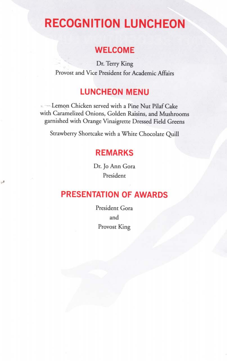## **RECOGNITION LUNCHEON**

#### **WELCOME**

Dr. Terry King Provost and Vice President for Academic Affairs

#### **LUNCHEON MENU**

**Lemon Chicken served with a Pine Nut Pilaf Cake** with Caramelized Onions, Golden Raisins, and Mushrooms garnished with Orange Vinaigrette Dressed Field Greens

Strawberry Shortcake with a White Chocolate Quill

#### **REMARKS**

Dr. Jo Ann Gora President

هي

#### **PRESENTATION OF AWARDS**

President Gora and Provost King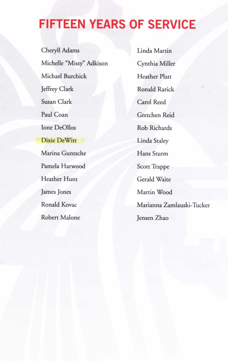### **FIFTEEN YEARS OF SERVICE**

Cheryll Adams Michelle "Missy" Adkison Michael Burchick Jeffrey Clark Susan Clark Paul Coan Ione De011os Dixie DeWitt Marina Guntsche Pamela Harwood Heather Hunt James Jones Ronald Kovac Robert Malone

Linda Martin Cynthia Miller Heather Platt Ronald Rarick Carol Reed Gretchen Reid Rob Richards Linda Staley Hans Sturm Scott Trappe Gerald Waite Martin Wood Marianna Zamlauski-Tucker Jensen Zhao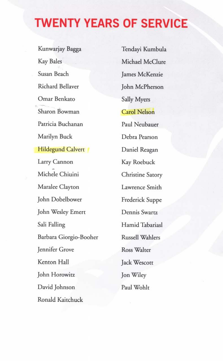### **TWENTY YEARS OF SERVICE**

Kunwarjay Bagga Tendayi Kumbula Kay Bales Michael McClure Susan Beach James McKenzie Richard Bellaver John McPherson Omar Benkato Sally Myers Sharon Bowman Carol Nelson Patricia Buchanan Paul Neubauer Marilyn Buck Debra Pearson Hildegund Calvert Daniel Reagan Larry Cannon Kay Roebuck Michele Chiuini Christine Satory Maralee Clayton Lawrence Smith John Dobelbower Frederick Suppe John Wesley Emert Dennis Swartz Sali Falling Hamid Tabariasl Barbara Giorgio-Booher Russell Wahlers Jennifer Grove Ross Walter Kenton Hall Jack Wescott John Horowitz Jon Wiley David Johnson Paul Wohlt Ronald Kaitchuck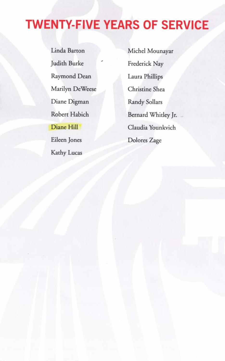# **TWENTY-FIVE YEARS OF SERVICE**

Linda Barton Michel Mounayar Judith Burke Raymond Dean Laura Phillips Marilyn DeWeese Christine Shea Diane Digman Randy Sollars Eileen Jones Dolores Zage Kathy Lucas

Frederick Nay Robert Habich Bernard Whitley Jr. Diane Hill Claudia Younkvich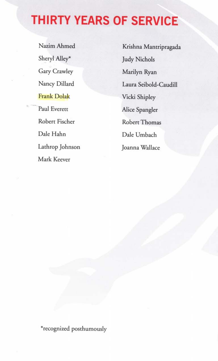### **THIRTY YEARS OF SERVICE**

Sheryl Alley\* Judy Nichols Gary Crawley Marilyn Ryan Frank Dolak Vicki Shipley Paul Everett Alice Spangler Robert Fischer Robert Thomas Dale Hahn Dale Umbach Lathrop Johnson Joanna Wallace Mark Keever

Nazim Ahmed Krishna Mantripragada Nancy Dillard Laura Seibold-Caudill

\*recognized posthumously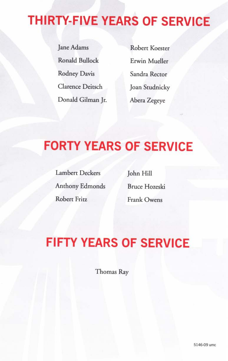# **THIRTY-FIVE YEARS OF SERVICE**

Jane Adams Robert Koester Ronald Bullock Erwin Mueller Rodney Davis Sandra Rector Clarence Deitsch Joan Studnicky Donald Gilman Jr. Abera Zegeye

### **FORTY YEARS OF SERVICE**

Lambert Deckers John Hill Anthony Edmonds Bruce Hozeski Robert Fritz Frank Owens

# **FIFTY YEARS OF SERVICE**

Thomas Ray